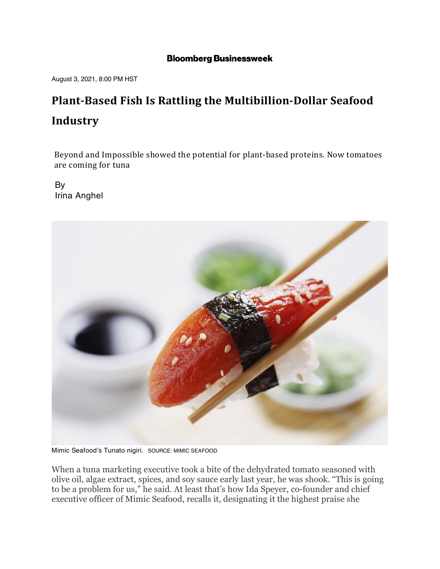## **Bloomberg Businessweek**

August 3, 2021, 8:00 PM HST

## **Plant-Based Fish Is Rattling the Multibillion-Dollar Seafood Industry**

Beyond and Impossible showed the potential for plant-based proteins. Now tomatoes are coming for tuna

By Irina Anghel



Mimic Seafood's Tunato nigiri. SOURCE: MIMIC SEAFOOD

When a tuna marketing executive took a bite of the dehydrated tomato seasoned with olive oil, algae extract, spices, and soy sauce early last year, he was shook. "This is going to be a problem for us," he said. At least that's how Ida Speyer, co-founder and chief executive officer of Mimic Seafood, recalls it, designating it the highest praise she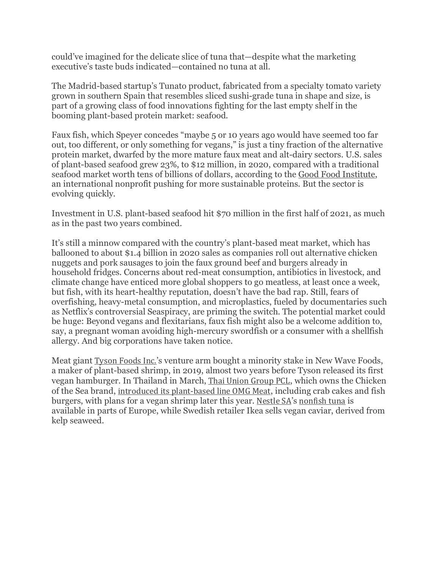could've imagined for the delicate slice of tuna that—despite what the marketing executive's taste buds indicated—contained no tuna at all.

The Madrid-based startup's Tunato product, fabricated from a specialty tomato variety grown in southern Spain that resembles sliced sushi-grade tuna in shape and size, is part of a growing class of food innovations fighting for the last empty shelf in the booming plant-based protein market: seafood.

Faux fish, which Speyer concedes "maybe 5 or 10 years ago would have seemed too far out, too different, or only something for vegans," is just a tiny fraction of the alternative protein market, dwarfed by the more mature faux meat and alt-dairy sectors. U.S. sales of plant-based seafood grew 23%, to \$12 million, in 2020, compared with a traditional seafood market worth tens of billions of dollars, according to the Good Food Institute, an international nonprofit pushing for more sustainable proteins. But the sector is evolving quickly.

Investment in U.S. plant-based seafood hit \$70 million in the first half of 2021, as much as in the past two years combined.

It's still a minnow compared with the country's plant-based meat market, which has ballooned to about \$1.4 billion in 2020 sales as companies roll out alternative chicken nuggets and pork sausages to join the faux ground beef and burgers already in household fridges. Concerns about red-meat consumption, antibiotics in livestock, and climate change have enticed more global shoppers to go meatless, at least once a week, but fish, with its heart-healthy reputation, doesn't have the bad rap. Still, fears of overfishing, heavy-metal consumption, and microplastics, fueled by documentaries such as Netflix's controversial Seaspiracy, are priming the switch. The potential market could be huge: Beyond vegans and flexitarians, faux fish might also be a welcome addition to, say, a pregnant woman avoiding high-mercury swordfish or a consumer with a shellfish allergy. And big corporations have taken notice.

Meat giant Tyson Foods Inc.'s venture arm bought a minority stake in New Wave Foods, a maker of plant-based shrimp, in 2019, almost two years before Tyson released its first vegan hamburger. In Thailand in March, Thai Union Group PCL, which owns the Chicken of the Sea brand, introduced its plant-based line OMG Meat, including crab cakes and fish burgers, with plans for a vegan shrimp later this year. Nestle SA's nonfish tuna is available in parts of Europe, while Swedish retailer Ikea sells vegan caviar, derived from kelp seaweed.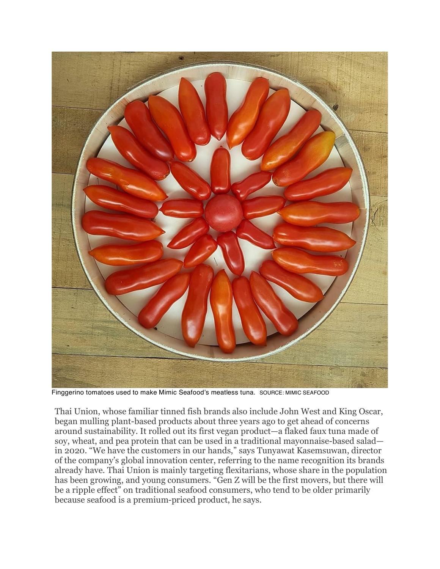

Finggerino tomatoes used to make Mimic Seafood's meatless tuna. SOURCE: MIMIC SEAFOOD

Thai Union, whose familiar tinned fish brands also include John West and King Oscar, began mulling plant-based products about three years ago to get ahead of concerns around sustainability. It rolled out its first vegan product—a flaked faux tuna made of soy, wheat, and pea protein that can be used in a traditional mayonnaise-based salad in 2020. "We have the customers in our hands," says Tunyawat Kasemsuwan, director of the company's global innovation center, referring to the name recognition its brands already have. Thai Union is mainly targeting flexitarians, whose share in the population has been growing, and young consumers. "Gen Z will be the first movers, but there will be a ripple effect" on traditional seafood consumers, who tend to be older primarily because seafood is a premium-priced product, he says.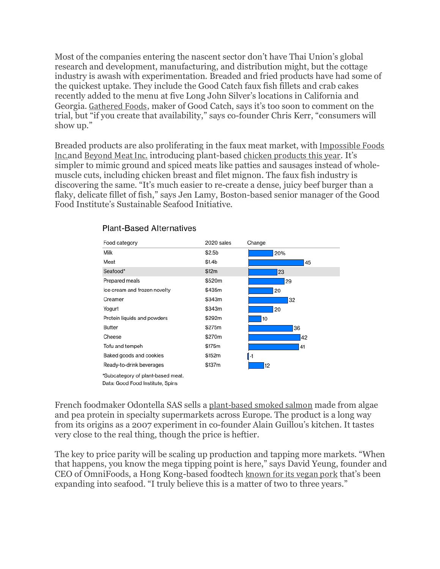Most of the companies entering the nascent sector don't have Thai Union's global research and development, manufacturing, and distribution might, but the cottage industry is awash with experimentation. Breaded and fried products have had some of the quickest uptake. They include the Good Catch faux fish fillets and crab cakes recently added to the menu at five Long John Silver's locations in California and Georgia. Gathered Foods, maker of Good Catch, says it's too soon to comment on the trial, but "if you create that availability," says co-founder Chris Kerr, "consumers will show up."

Breaded products are also proliferating in the faux meat market, with Impossible Foods Inc.and Beyond Meat Inc. introducing plant-based chicken products this year. It's simpler to mimic ground and spiced meats like patties and sausages instead of wholemuscle cuts, including chicken breast and filet mignon. The faux fish industry is discovering the same. "It's much easier to re-create a dense, juicy beef burger than a flaky, delicate fillet of fish," says Jen Lamy, Boston-based senior manager of the Good Food Institute's Sustainable Seafood Initiative.



## **Plant-Based Alternatives**

French foodmaker Odontella SAS sells a plant-based smoked salmon made from algae and pea protein in specialty supermarkets across Europe. The product is a long way from its origins as a 2007 experiment in co-founder Alain Guillou's kitchen. It tastes very close to the real thing, though the price is heftier.

The key to price parity will be scaling up production and tapping more markets. "When that happens, you know the mega tipping point is here," says David Yeung, founder and CEO of OmniFoods, a Hong Kong-based foodtech known for its vegan pork that's been expanding into seafood. "I truly believe this is a matter of two to three years."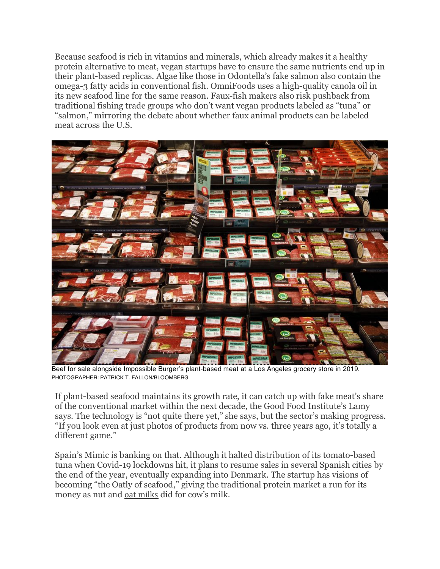Because seafood is rich in vitamins and minerals, which already makes it a healthy protein alternative to meat, vegan startups have to ensure the same nutrients end up in their plant-based replicas. Algae like those in Odontella's fake salmon also contain the omega-3 fatty acids in conventional fish. OmniFoods uses a high-quality canola oil in its new seafood line for the same reason. Faux-fish makers also risk pushback from traditional fishing trade groups who don't want vegan products labeled as "tuna" or "salmon," mirroring the debate about whether faux animal products can be labeled meat across the U.S.



Beef for sale alongside Impossible Burger's plant-based meat at a Los Angeles grocery store in 2019. PHOTOGRAPHER: PATRICK T. FALLON/BLOOMBERG

If plant-based seafood maintains its growth rate, it can catch up with fake meat's share of the conventional market within the next decade, the Good Food Institute's Lamy says. The technology is "not quite there yet," she says, but the sector's making progress. "If you look even at just photos of products from now vs. three years ago, it's totally a different game."

Spain's Mimic is banking on that. Although it halted distribution of its tomato-based tuna when Covid-19 lockdowns hit, it plans to resume sales in several Spanish cities by the end of the year, eventually expanding into Denmark. The startup has visions of becoming "the Oatly of seafood," giving the traditional protein market a run for its money as nut and oat milks did for cow's milk.